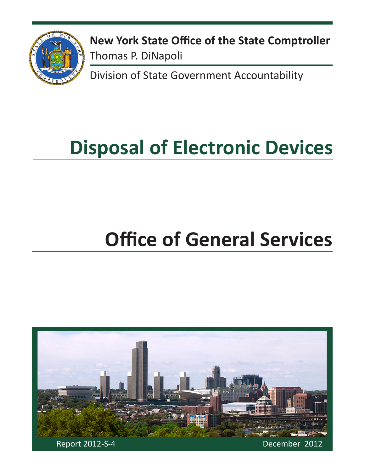

**New York State Office of the State Comptroller** Thomas P. DiNapoli

Division of State Government Accountability

# **Disposal of Electronic Devices**

# **Office of General Services**

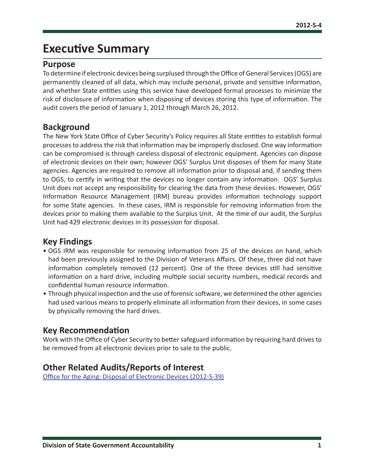## **Executive Summary**

#### **Purpose**

To determine if electronic devices being surplused through the Office of General Services (OGS) are permanently cleaned of all data, which may include personal, private and sensitive information, and whether State entities using this service have developed formal processes to minimize the risk of disclosure of information when disposing of devices storing this type of information. The audit covers the period of January 1, 2012 through March 26, 2012.

#### **Background**

The New York State Office of Cyber Security's Policy requires all State entities to establish formal processes to address the risk that information may be improperly disclosed. One way information can be compromised is through careless disposal of electronic equipment. Agencies can dispose of electronic devices on their own; however OGS' Surplus Unit disposes of them for many State agencies. Agencies are required to remove all information prior to disposal and, if sending them to OGS, to certify in writing that the devices no longer contain any information. OGS' Surplus Unit does not accept any responsibility for clearing the data from these devices. However, OGS' Information Resource Management (IRM) bureau provides information technology support for some State agencies. In these cases, IRM is responsible for removing information from the devices prior to making them available to the Surplus Unit. At the time of our audit, the Surplus Unit had 429 electronic devices in its possession for disposal.

## **Key Findings**

- OGS IRM was responsible for removing information from 25 of the devices on hand, which had been previously assigned to the Division of Veterans Affairs. Of these, three did not have information completely removed (12 percent). One of the three devices still had sensitive information on a hard drive, including multiple social security numbers, medical records and confidential human resource information.
- Through physical inspection and the use of forensic software, we determined the other agencies had used various means to properly eliminate all information from their devices, in some cases by physically removing the hard drives.

## **Key Recommendation**

Work with the Office of Cyber Security to better safeguard information by requiring hard drives to be removed from all electronic devices prior to sale to the public.

#### **Other Related Audits/Reports of Interest**

[Office for the Aging: Disposal of Electronic Devices \(2012-S-39\)](http://osc.state.ny.us/audits/allaudits/093013/12s39.pdf)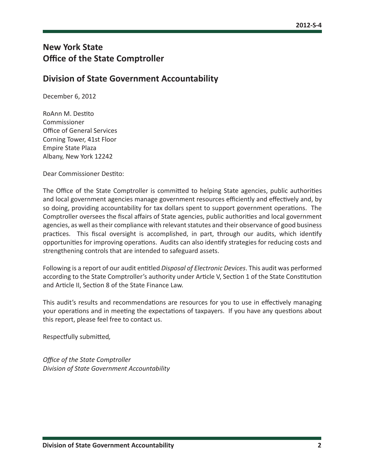## **New York State Office of the State Comptroller**

#### **Division of State Government Accountability**

December 6, 2012

RoAnn M. Destito Commissioner Office of General Services Corning Tower, 41st Floor Empire State Plaza Albany, New York 12242

Dear Commissioner Destito:

The Office of the State Comptroller is committed to helping State agencies, public authorities and local government agencies manage government resources efficiently and effectively and, by so doing, providing accountability for tax dollars spent to support government operations. The Comptroller oversees the fiscal affairs of State agencies, public authorities and local government agencies, as well as their compliance with relevant statutes and their observance of good business practices. This fiscal oversight is accomplished, in part, through our audits, which identify opportunities for improving operations. Audits can also identify strategies for reducing costs and strengthening controls that are intended to safeguard assets.

Following is a report of our audit entitled *Disposal of Electronic Devices*. This audit was performed according to the State Comptroller's authority under Article V, Section 1 of the State Constitution and Article II, Section 8 of the State Finance Law.

This audit's results and recommendations are resources for you to use in effectively managing your operations and in meeting the expectations of taxpayers. If you have any questions about this report, please feel free to contact us.

Respectfully submitted*,*

*Office of the State Comptroller Division of State Government Accountability*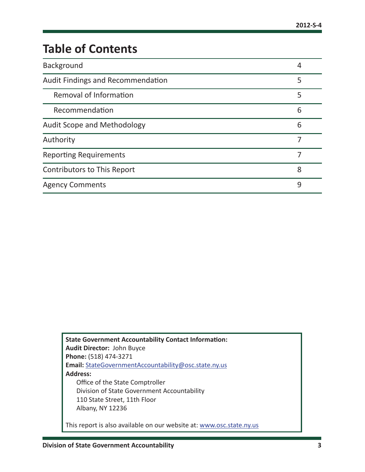## **Table of Contents**

| <b>Background</b>                        | 4 |
|------------------------------------------|---|
| <b>Audit Findings and Recommendation</b> | 5 |
| <b>Removal of Information</b>            | 5 |
| Recommendation                           | 6 |
| Audit Scope and Methodology              | 6 |
| Authority                                |   |
| <b>Reporting Requirements</b>            |   |
| Contributors to This Report              | 8 |
| <b>Agency Comments</b>                   | 9 |

**State Government Accountability Contact Information: Audit Director:** John Buyce **Phone:** (518) 474-3271 **Email:** [StateGovernmentAccountability@osc.state.ny.us](mailto:StateGovernmentAccountability%40osc.state.ny.us?subject=) **Address:** Office of the State Comptroller Division of State Government Accountability 110 State Street, 11th Floor Albany, NY 12236 This report is also available on our website at: [www.osc.state.ny.us](http://www.osc.state.ny.us)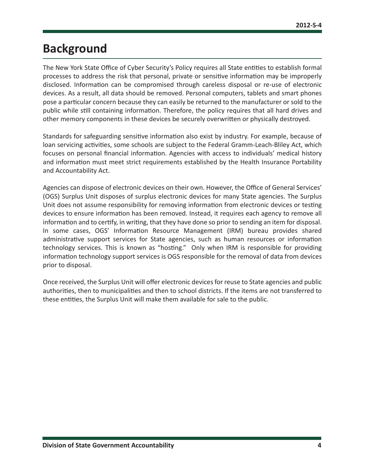## <span id="page-4-0"></span>**Background**

The New York State Office of Cyber Security's Policy requires all State entities to establish formal processes to address the risk that personal, private or sensitive information may be improperly disclosed. Information can be compromised through careless disposal or re-use of electronic devices. As a result, all data should be removed. Personal computers, tablets and smart phones pose a particular concern because they can easily be returned to the manufacturer or sold to the public while still containing information. Therefore, the policy requires that all hard drives and other memory components in these devices be securely overwritten or physically destroyed.

Standards for safeguarding sensitive information also exist by industry. For example, because of loan servicing activities, some schools are subject to the Federal Gramm-Leach-Bliley Act, which focuses on personal financial information. Agencies with access to individuals' medical history and information must meet strict requirements established by the Health Insurance Portability and Accountability Act.

Agencies can dispose of electronic devices on their own. However, the Office of General Services' (OGS) Surplus Unit disposes of surplus electronic devices for many State agencies. The Surplus Unit does not assume responsibility for removing information from electronic devices or testing devices to ensure information has been removed. Instead, it requires each agency to remove all information and to certify, in writing, that they have done so prior to sending an item for disposal. In some cases, OGS' Information Resource Management (IRM) bureau provides shared administrative support services for State agencies, such as human resources or information technology services. This is known as "hosting." Only when IRM is responsible for providing information technology support services is OGS responsible for the removal of data from devices prior to disposal.

Once received, the Surplus Unit will offer electronic devices for reuse to State agencies and public authorities, then to municipalities and then to school districts. If the items are not transferred to these entities, the Surplus Unit will make them available for sale to the public.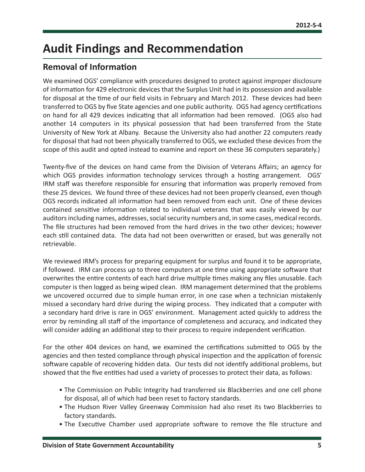## <span id="page-5-0"></span>**Audit Findings and Recommendation**

## **Removal of Information**

We examined OGS' compliance with procedures designed to protect against improper disclosure of information for 429 electronic devices that the Surplus Unit had in its possession and available for disposal at the time of our field visits in February and March 2012. These devices had been transferred to OGS by five State agencies and one public authority. OGS had agency certifications on hand for all 429 devices indicating that all information had been removed. (OGS also had another 14 computers in its physical possession that had been transferred from the State University of New York at Albany. Because the University also had another 22 computers ready for disposal that had not been physically transferred to OGS, we excluded these devices from the scope of this audit and opted instead to examine and report on these 36 computers separately.)

Twenty-five of the devices on hand came from the Division of Veterans Affairs; an agency for which OGS provides information technology services through a hosting arrangement. OGS' IRM staff was therefore responsible for ensuring that information was properly removed from these 25 devices. We found three of these devices had not been properly cleansed, even though OGS records indicated all information had been removed from each unit. One of these devices contained sensitive information related to individual veterans that was easily viewed by our auditors including names, addresses, social security numbers and, in some cases, medical records. The file structures had been removed from the hard drives in the two other devices; however each still contained data. The data had not been overwritten or erased, but was generally not retrievable.

We reviewed IRM's process for preparing equipment for surplus and found it to be appropriate, if followed. IRM can process up to three computers at one time using appropriate software that overwrites the entire contents of each hard drive multiple times making any files unusable. Each computer is then logged as being wiped clean. IRM management determined that the problems we uncovered occurred due to simple human error, in one case when a technician mistakenly missed a secondary hard drive during the wiping process. They indicated that a computer with a secondary hard drive is rare in OGS' environment. Management acted quickly to address the error by reminding all staff of the importance of completeness and accuracy, and indicated they will consider adding an additional step to their process to require independent verification.

For the other 404 devices on hand, we examined the certifications submitted to OGS by the agencies and then tested compliance through physical inspection and the application of forensic software capable of recovering hidden data. Our tests did not identify additional problems, but showed that the five entities had used a variety of processes to protect their data, as follows:

- The Commission on Public Integrity had transferred six Blackberries and one cell phone for disposal, all of which had been reset to factory standards.
- The Hudson River Valley Greenway Commission had also reset its two Blackberries to factory standards.
- The Executive Chamber used appropriate software to remove the file structure and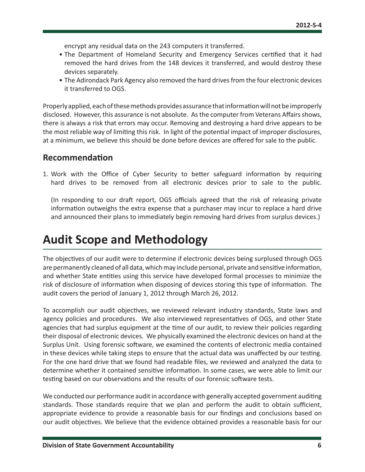<span id="page-6-0"></span>encrypt any residual data on the 243 computers it transferred.

- The Department of Homeland Security and Emergency Services certified that it had removed the hard drives from the 148 devices it transferred, and would destroy these devices separately.
- The Adirondack Park Agency also removed the hard drives from the four electronic devices it transferred to OGS.

Properly applied, each of these methods provides assurance that information will not be improperly disclosed. However, this assurance is not absolute. As the computer from Veterans Affairs shows, there is always a risk that errors may occur. Removing and destroying a hard drive appears to be the most reliable way of limiting this risk. In light of the potential impact of improper disclosures, at a minimum, we believe this should be done before devices are offered for sale to the public.

#### **Recommendation**

1. Work with the Office of Cyber Security to better safeguard information by requiring hard drives to be removed from all electronic devices prior to sale to the public.

(In responding to our draft report, OGS officials agreed that the risk of releasing private information outweighs the extra expense that a purchaser may incur to replace a hard drive and announced their plans to immediately begin removing hard drives from surplus devices.)

## **Audit Scope and Methodology**

The objectives of our audit were to determine if electronic devices being surplused through OGS are permanently cleaned of all data, which may include personal, private and sensitive information, and whether State entities using this service have developed formal processes to minimize the risk of disclosure of information when disposing of devices storing this type of information. The audit covers the period of January 1, 2012 through March 26, 2012.

To accomplish our audit objectives, we reviewed relevant industry standards, State laws and agency policies and procedures. We also interviewed representatives of OGS, and other State agencies that had surplus equipment at the time of our audit, to review their policies regarding their disposal of electronic devices. We physically examined the electronic devices on hand at the Surplus Unit. Using forensic software, we examined the contents of electronic media contained in these devices while taking steps to ensure that the actual data was unaffected by our testing. For the one hard drive that we found had readable files, we reviewed and analyzed the data to determine whether it contained sensitive information. In some cases, we were able to limit our testing based on our observations and the results of our forensic software tests.

We conducted our performance audit in accordance with generally accepted government auditing standards. Those standards require that we plan and perform the audit to obtain sufficient, appropriate evidence to provide a reasonable basis for our findings and conclusions based on our audit objectives. We believe that the evidence obtained provides a reasonable basis for our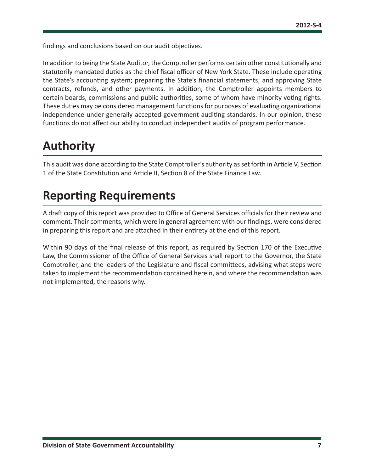<span id="page-7-0"></span>findings and conclusions based on our audit objectives.

In addition to being the State Auditor, the Comptroller performs certain other constitutionally and statutorily mandated duties as the chief fiscal officer of New York State. These include operating the State's accounting system; preparing the State's financial statements; and approving State contracts, refunds, and other payments. In addition, the Comptroller appoints members to certain boards, commissions and public authorities, some of whom have minority voting rights. These duties may be considered management functions for purposes of evaluating organizational independence under generally accepted government auditing standards. In our opinion, these functions do not affect our ability to conduct independent audits of program performance.

## **Authority**

This audit was done according to the State Comptroller's authority as set forth in Article V, Section 1 of the State Constitution and Article II, Section 8 of the State Finance Law.

## **Reporting Requirements**

A draft copy of this report was provided to Office of General Services officials for their review and comment. Their comments, which were in general agreement with our findings, were considered in preparing this report and are attached in their entirety at the end of this report.

Within 90 days of the final release of this report, as required by Section 170 of the Executive Law, the Commissioner of the Office of General Services shall report to the Governor, the State Comptroller, and the leaders of the Legislature and fiscal committees, advising what steps were taken to implement the recommendation contained herein, and where the recommendation was not implemented, the reasons why.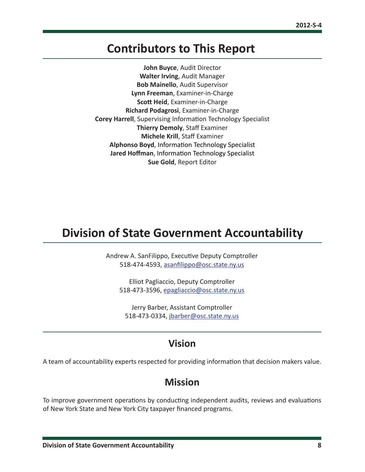## <span id="page-8-0"></span>**Contributors to This Report**

**John Buyce**, Audit Director **Walter Irving**, Audit Manager **Bob Mainello**, Audit Supervisor **Lynn Freeman**, Examiner-in-Charge **Scott Heid**, Examiner-in-Charge **Richard Podagrosi**, Examiner-in-Charge **Corey Harrell**, Supervising Information Technology Specialist **Thierry Demoly**, Staff Examiner **Michele Krill**, Staff Examiner **Alphonso Boyd**, Information Technology Specialist **Jared Hoffman**, Information Technology Specialist **Sue Gold**, Report Editor

## **Division of State Government Accountability**

Andrew A. SanFilippo, Executive Deputy Comptroller 518-474-4593, [asanfilippo@osc.state.ny.us](mailto:asanfilippo%40osc.state.ny.us%0D?subject=)

Elliot Pagliaccio, Deputy Comptroller 518-473-3596, [epagliaccio@osc.state.ny.us](mailto:epagliaccio%40osc.state.ny.us?subject=)

Jerry Barber, Assistant Comptroller 518-473-0334, [jbarber@osc.state.ny.us](mailto:jbarber%40osc.state.ny.us?subject=)

## **Vision**

A team of accountability experts respected for providing information that decision makers value.

## **Mission**

To improve government operations by conducting independent audits, reviews and evaluations of New York State and New York City taxpayer financed programs.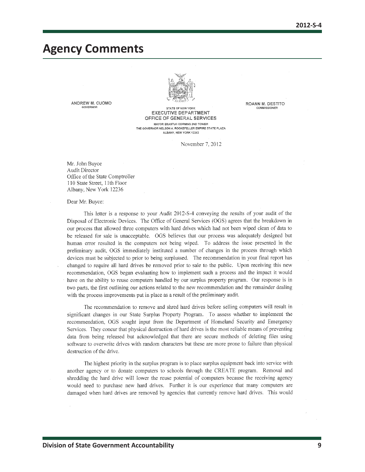**ROANN M. DESTITO** 

COMMISSIONER

## <span id="page-9-0"></span>**Agency Comments**



ANDREW M. CUOMO GOVERNOR

STATE OF NEW YORK **EXECUTIVE DEPARTMENT** OFFICE OF GENERAL SERVICES MAYOR ERASTLIS CORNING 2ND TOWER THE GOVERNOR NELSON A. ROCKEFELLER EMPIRE STATE PLAZA ALBANY, NEW YORK 12242

November 7, 2012

Mr. John Buyce Audit Director Office of the State Comptroller 110 State Street, 11th Floor Albany, New York 12236

Dear Mr. Buyce:

This letter is a response to your Audit 2012-S-4 conveying the results of your audit of the Disposal of Electronic Devices. The Office of General Services (OGS) agrees that the breakdown in our process that allowed three computers with hard drives which had not been wiped clean of data to be released for sale is unacceptable. OGS believes that our process was adequately designed but human error resulted in the computers not being wiped. To address the issue presented in the preliminary audit. OGS immediately instituted a number of changes in the process through which devices must be subjected to prior to being surplussed. The recommendation in your final report has changed to require all hard drives be removed prior to sale to the public. Upon receiving this new recommendation, OGS began evaluating how to implement such a process and the impact it would have on the ability to reuse computers handled by our surplus property program. Our response is in two parts, the first outlining our actions related to the new recommendation and the remainder dealing with the process improvements put in place as a result of the preliminary audit.

The recommendation to remove and shred hard drives before selling computers will result in significant changes in our State Surplus Property Program. To assess whether to implement the recommendation, OGS sought input from the Department of Homeland Security and Emergency Services. They concur that physical destruction of hard drives is the most reliable means of preventing data from being released but acknowledged that there are secure methods of deleting files using software to overwrite drives with random characters but these are more prone to failure than physical destruction of the drive.

The highest priority in the surplus program is to place surplus equipment back into service with another agency or to donate computers to schools through the CREATE program. Removal and shredding the hard drive will lower the reuse potential of computers because the receiving agency would need to purchase new hard drives. Further it is our experience that many computers are damaged when hard drives are removed by agencies that currently remove hard drives. This would